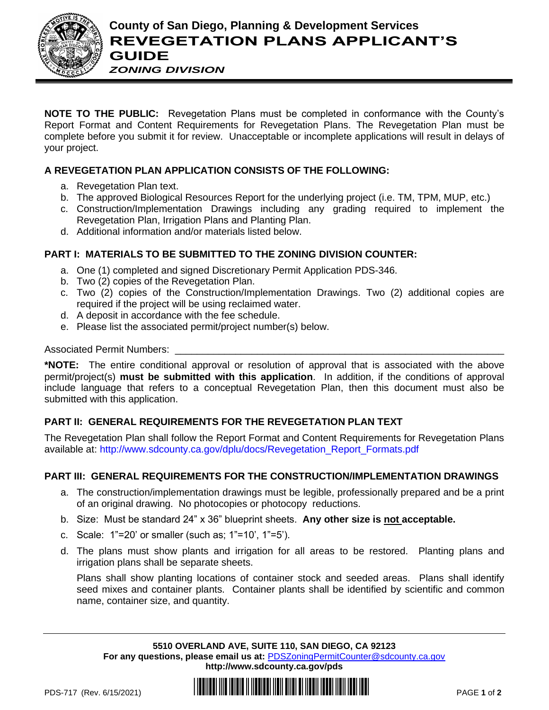

**NOTE TO THE PUBLIC:** Revegetation Plans must be completed in conformance with the County's Report Format and Content Requirements for Revegetation Plans. The Revegetation Plan must be complete before you submit it for review. Unacceptable or incomplete applications will result in delays of your project.

## **A REVEGETATION PLAN APPLICATION CONSISTS OF THE FOLLOWING:**

- a. Revegetation Plan text.
- b. The approved Biological Resources Report for the underlying project (i.e. TM, TPM, MUP, etc.)
- c. Construction/Implementation Drawings including any grading required to implement the Revegetation Plan, Irrigation Plans and Planting Plan.
- d. Additional information and/or materials listed below.

### **PART I: MATERIALS TO BE SUBMITTED TO THE ZONING DIVISION COUNTER:**

- a. One (1) completed and signed Discretionary Permit Application PDS-346.
- b. Two (2) copies of the Revegetation Plan.
- c. Two (2) copies of the Construction/Implementation Drawings. Two (2) additional copies are required if the project will be using reclaimed water.
- d. A deposit in accordance with the fee schedule.
- e. Please list the associated permit/project number(s) below.

Associated Permit Numbers:

**\*NOTE:** The entire conditional approval or resolution of approval that is associated with the above permit/project(s) **must be submitted with this application**. In addition, if the conditions of approval include language that refers to a conceptual Revegetation Plan, then this document must also be submitted with this application.

## **PART II: GENERAL REQUIREMENTS FOR THE REVEGETATION PLAN TEXT**

The Revegetation Plan shall follow the Report Format and Content Requirements for Revegetation Plans available at: [http://www.sdcounty.ca.gov/dplu/docs/Revegetation\\_Report\\_Formats.pdf](http://www.sdcounty.ca.gov/dplu/docs/Revegetation_Report_Formats.pdf)

#### **PART III: GENERAL REQUIREMENTS FOR THE CONSTRUCTION/IMPLEMENTATION DRAWINGS**

- a. The construction/implementation drawings must be legible, professionally prepared and be a print of an original drawing. No photocopies or photocopy reductions.
- b. Size: Must be standard 24" x 36" blueprint sheets. **Any other size is not acceptable.**
- c. Scale: 1"=20' or smaller (such as; 1"=10', 1"=5').
- d. The plans must show plants and irrigation for all areas to be restored. Planting plans and irrigation plans shall be separate sheets.

Plans shall show planting locations of container stock and seeded areas. Plans shall identify seed mixes and container plants. Container plants shall be identified by scientific and common name, container size, and quantity.